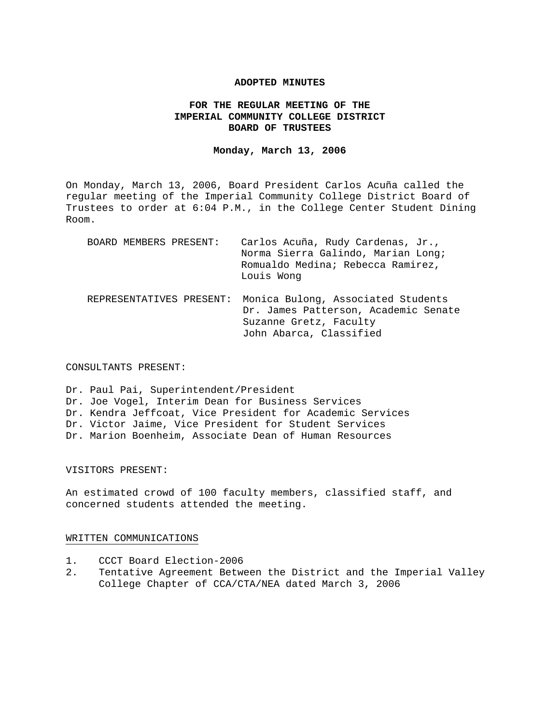#### **ADOPTED MINUTES**

## **FOR THE REGULAR MEETING OF THE IMPERIAL COMMUNITY COLLEGE DISTRICT BOARD OF TRUSTEES**

#### **Monday, March 13, 2006**

On Monday, March 13, 2006, Board President Carlos Acuña called the regular meeting of the Imperial Community College District Board of Trustees to order at 6:04 P.M., in the College Center Student Dining Room.

| BOARD MEMBERS PRESENT:   | Carlos Acuña, Rudy Cardenas, Jr.,<br>Norma Sierra Galindo, Marian Long;<br>Romualdo Medina; Rebecca Ramirez,<br>Louis Wong      |
|--------------------------|---------------------------------------------------------------------------------------------------------------------------------|
| REPRESENTATIVES PRESENT: | Monica Bulong, Associated Students<br>Dr. James Patterson, Academic Senate<br>Suzanne Gretz, Faculty<br>John Abarca, Classified |

#### CONSULTANTS PRESENT:

Dr. Paul Pai, Superintendent/President Dr. Joe Vogel, Interim Dean for Business Services Dr. Kendra Jeffcoat, Vice President for Academic Services Dr. Victor Jaime, Vice President for Student Services Dr. Marion Boenheim, Associate Dean of Human Resources

#### VISITORS PRESENT:

An estimated crowd of 100 faculty members, classified staff, and concerned students attended the meeting.

#### WRITTEN COMMUNICATIONS

- 1. CCCT Board Election-2006
- 2. Tentative Agreement Between the District and the Imperial Valley College Chapter of CCA/CTA/NEA dated March 3, 2006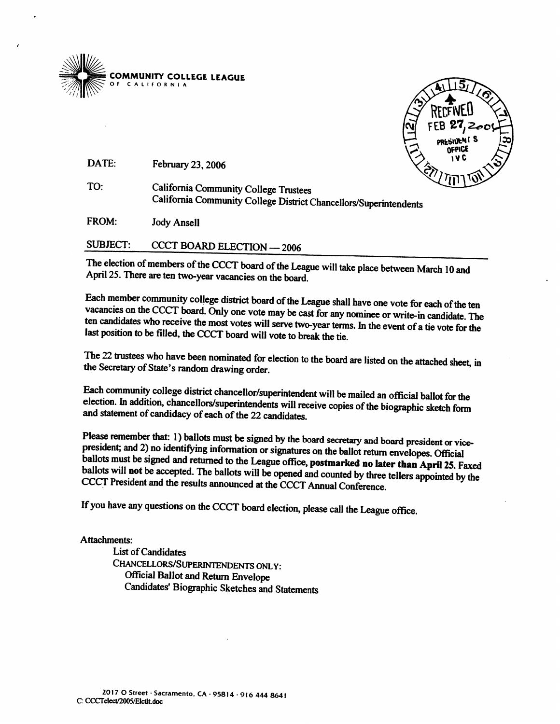



DATE: February 23, 2006

TO: **California Community College Trustees** California Community College District Chancellors/Superintendents

FROM: **Jody Ansell** 

**SUBJECT: CCCT BOARD ELECTION - 2006** 

The election of members of the CCCT board of the League will take place between March 10 and April 25. There are ten two-year vacancies on the board.

Each member community college district board of the League shall have one vote for each of the ten vacancies on the CCCT board. Only one vote may be cast for any nominee or write-in candidate. The ten candidates who receive the most votes will serve two-year terms. In the event of a tie vote for the last position to be filled, the CCCT board will vote to break the tie.

The 22 trustees who have been nominated for election to the board are listed on the attached sheet, in the Secretary of State's random drawing order.

Each community college district chancellor/superintendent will be mailed an official ballot for the election. In addition, chancellors/superintendents will receive copies of the biographic sketch form and statement of candidacy of each of the 22 candidates.

Please remember that: 1) ballots must be signed by the board secretary and board president or vicepresident; and 2) no identifying information or signatures on the ballot return envelopes. Official ballots must be signed and returned to the League office, postmarked no later than April 25. Faxed ballots will not be accepted. The ballots will be opened and counted by three tellers appointed by the CCCT President and the results announced at the CCCT Annual Conference.

If you have any questions on the CCCT board election, please call the League office.

Attachments:

**List of Candidates** CHANCELLORS/SUPERINTENDENTS ONLY: **Official Ballot and Return Envelope** Candidates' Biographic Sketches and Statements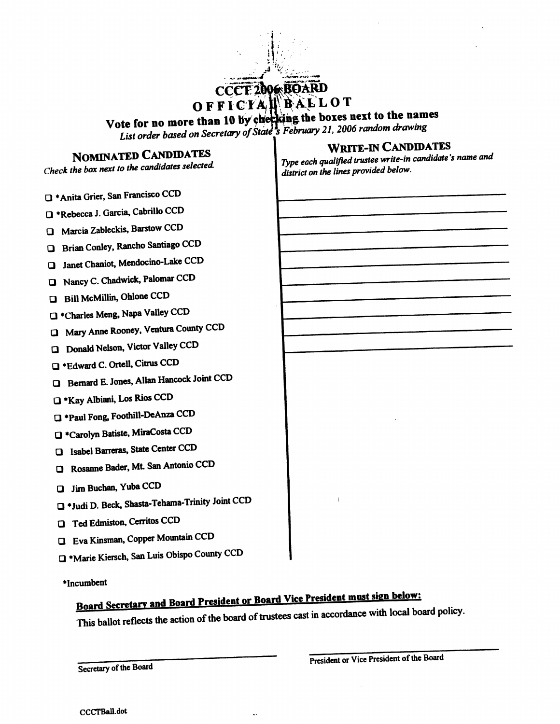OFFICTAL BALLOT

Vote for no more than 10 by checking the boxes next to the names<br>List order based on Secretary of State 3 February 21, 2006 random drawing

# **NOMINATED CANDIDATES**

Check the box next to the candidates selected.

- <sup>+</sup>Anita Grier, San Francisco CCD
- T \*Rebecca J. Garcia, Cabrillo CCD
- **Q** Marcia Zableckis, Barstow CCD
- **a** Brian Conley, Rancho Santiago CCD
- **Q** Janet Chaniot, Mendocino-Lake CCD
- Nancy C. Chadwick, Palomar CCD
- **Bill McMillin, Ohlone CCD**
- T \*Charles Meng, Napa Valley CCD
- I Mary Anne Rooney, Ventura County CCD
- **Q** Donald Nelson, Victor Valley CCD
- T \*Edward C. Ortell, Citrus CCD
- **O** Bernard E. Jones, Allan Hancock Joint CCD
- T \*Kay Albiani, Los Rios CCD
- Paul Fong, Foothill-DeAnza CCD
- <sup>t</sup>Carolyn Batiste, MiraCosta CCD
- **a** Isabel Barreras, State Center CCD
- **Q** Rosanne Bader, Mt. San Antonio CCD
- J Jim Buchan, Yuba CCD
- J \*Judi D. Beck, Shasta-Tehama-Trinity Joint CCD
- **Q** Ted Edmiston, Cerritos CCD
- **U** Eva Kinsman, Copper Mountain CCD
- <sup>\*</sup>Marie Kiersch, San Luis Obispo County CCD

\*Incumbent

# Board Secretary and Board President or Board Vice President must sign below:

This ballot reflects the action of the board of trustees cast in accordance with local board policy.

Secretary of the Board

**WRITE-IN CANDIDATES** 

Type each qualified trustee write-in candidate's name and district on the lines provided below.

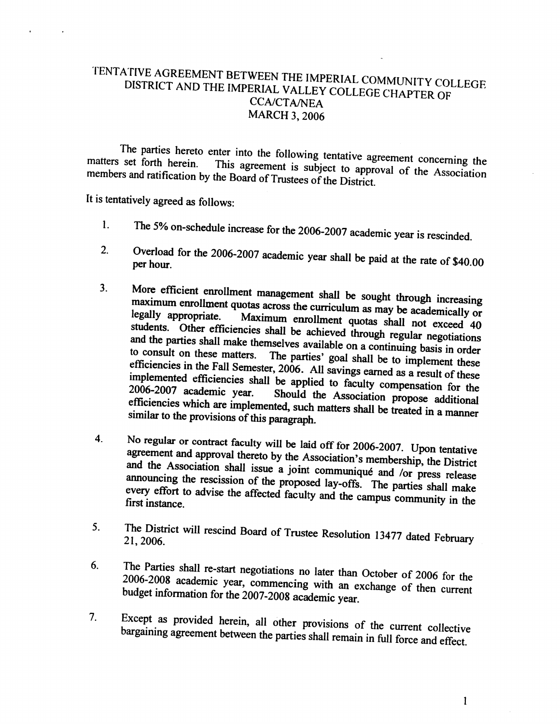## TENTATIVE AGREEMENT BETWEEN THE IMPERIAL COMMUNITY COLLEGE DISTRICT AND THE IMPERIAL VALLEY COLLEGE CHAPTER OF **CCA/CTA/NEA MARCH 3, 2006**

The parties hereto enter into the following tentative agreement concerning the matters set forth herein. This agreement is subject to approval of the Association members and ratification by the Board of Trustees of the District.

It is tentatively agreed as follows:

- The 5% on-schedule increase for the 2006-2007 academic year is rescinded.  $\mathbf{1}$ .
- Overload for the 2006-2007 academic year shall be paid at the rate of \$40.00  $2.$ per hour.
- More efficient enrollment management shall be sought through increasing  $3<sub>1</sub>$ maximum enrollment quotas across the curriculum as may be academically or legally appropriate. Maximum enrollment quotas shall not exceed 40 students. Other efficiencies shall be achieved through regular negotiations and the parties shall make themselves available on a continuing basis in order to consult on these matters. The parties' goal shall be to implement these efficiencies in the Fall Semester, 2006. All savings earned as a result of these implemented efficiencies shall be applied to faculty compensation for the 2006-2007 academic year. Should the Association propose additional efficiencies which are implemented, such matters shall be treated in a manner similar to the provisions of this paragraph.
- $4.$ No regular or contract faculty will be laid off for 2006-2007. Upon tentative agreement and approval thereto by the Association's membership, the District and the Association shall issue a joint communiqué and /or press release announcing the rescission of the proposed lay-offs. The parties shall make every effort to advise the affected faculty and the campus community in the first instance.
- The District will rescind Board of Trustee Resolution 13477 dated February 5. 21, 2006.
- The Parties shall re-start negotiations no later than October of 2006 for the 6. 2006-2008 academic year, commencing with an exchange of then current budget information for the 2007-2008 academic year.
- Except as provided herein, all other provisions of the current collective  $7<sub>1</sub>$ bargaining agreement between the parties shall remain in full force and effect.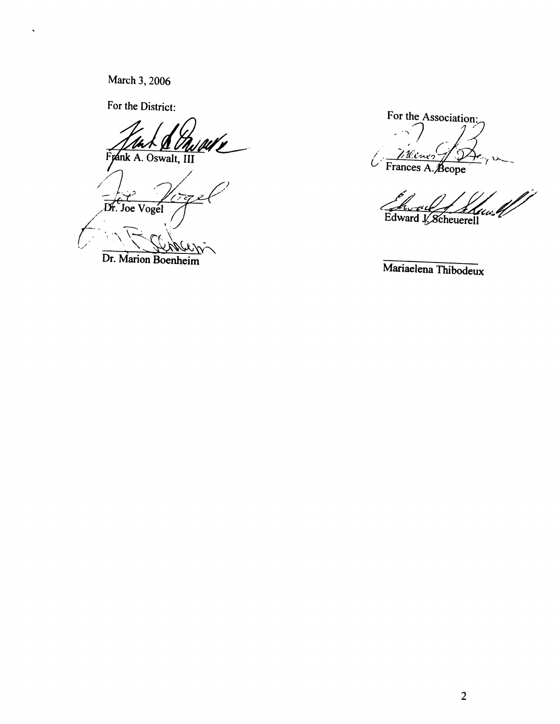March 3, 2006

 $\mathbf{v} = \mathbf{v}$ 

For the District:

Frank A. Oswalt, III

Dr. Joe Vogel

Dr. Marion Boenheim

For the Association: Welner Frances A. Beope

Edward J. Scheuerell

Mariaelena Thibodeux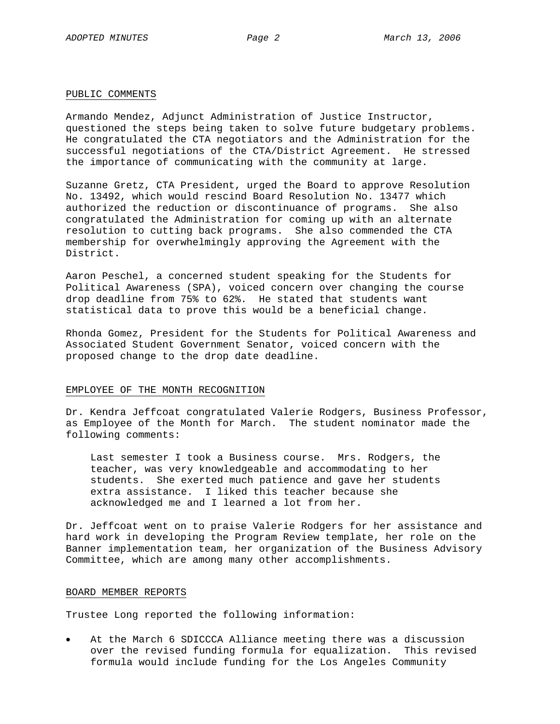#### PUBLIC COMMENTS

Armando Mendez, Adjunct Administration of Justice Instructor, questioned the steps being taken to solve future budgetary problems. He congratulated the CTA negotiators and the Administration for the successful negotiations of the CTA/District Agreement. He stressed the importance of communicating with the community at large.

Suzanne Gretz, CTA President, urged the Board to approve Resolution No. 13492, which would rescind Board Resolution No. 13477 which authorized the reduction or discontinuance of programs. She also congratulated the Administration for coming up with an alternate resolution to cutting back programs. She also commended the CTA membership for overwhelmingly approving the Agreement with the District.

Aaron Peschel, a concerned student speaking for the Students for Political Awareness (SPA), voiced concern over changing the course drop deadline from 75% to 62%. He stated that students want statistical data to prove this would be a beneficial change.

Rhonda Gomez, President for the Students for Political Awareness and Associated Student Government Senator, voiced concern with the proposed change to the drop date deadline.

#### EMPLOYEE OF THE MONTH RECOGNITION

Dr. Kendra Jeffcoat congratulated Valerie Rodgers, Business Professor, as Employee of the Month for March. The student nominator made the following comments:

Last semester I took a Business course. Mrs. Rodgers, the teacher, was very knowledgeable and accommodating to her students. She exerted much patience and gave her students extra assistance. I liked this teacher because she acknowledged me and I learned a lot from her.

Dr. Jeffcoat went on to praise Valerie Rodgers for her assistance and hard work in developing the Program Review template, her role on the Banner implementation team, her organization of the Business Advisory Committee, which are among many other accomplishments.

#### BOARD MEMBER REPORTS

Trustee Long reported the following information:

At the March 6 SDICCCA Alliance meeting there was a discussion over the revised funding formula for equalization. This revised formula would include funding for the Los Angeles Community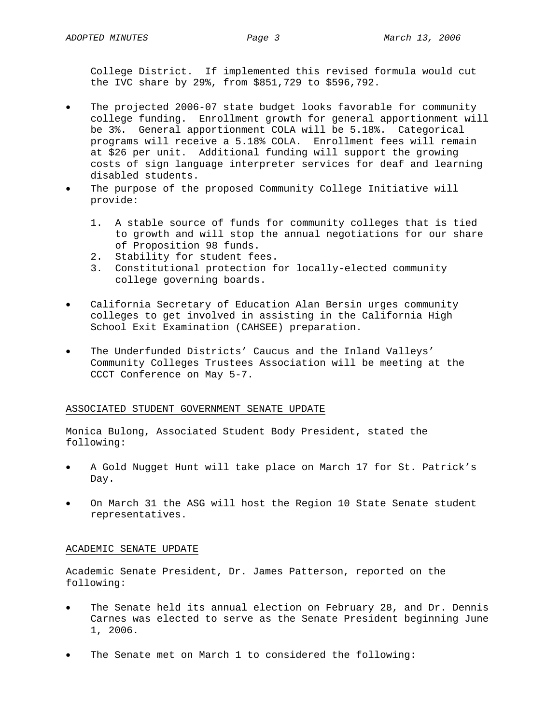College District. If implemented this revised formula would cut the IVC share by 29%, from \$851,729 to \$596,792.

- The projected 2006-07 state budget looks favorable for community college funding. Enrollment growth for general apportionment will be 3%. General apportionment COLA will be 5.18%. Categorical programs will receive a 5.18% COLA. Enrollment fees will remain at \$26 per unit. Additional funding will support the growing costs of sign language interpreter services for deaf and learning disabled students.
- The purpose of the proposed Community College Initiative will provide:
	- 1. A stable source of funds for community colleges that is tied to growth and will stop the annual negotiations for our share of Proposition 98 funds.
	- 2. Stability for student fees.
	- 3. Constitutional protection for locally-elected community college governing boards.
- California Secretary of Education Alan Bersin urges community colleges to get involved in assisting in the California High School Exit Examination (CAHSEE) preparation.
- The Underfunded Districts' Caucus and the Inland Valleys' Community Colleges Trustees Association will be meeting at the CCCT Conference on May 5-7.

#### ASSOCIATED STUDENT GOVERNMENT SENATE UPDATE

Monica Bulong, Associated Student Body President, stated the following:

- A Gold Nugget Hunt will take place on March 17 for St. Patrick's Day.
- On March 31 the ASG will host the Region 10 State Senate student representatives.

### ACADEMIC SENATE UPDATE

Academic Senate President, Dr. James Patterson, reported on the following:

- The Senate held its annual election on February 28, and Dr. Dennis Carnes was elected to serve as the Senate President beginning June 1, 2006.
- The Senate met on March 1 to considered the following: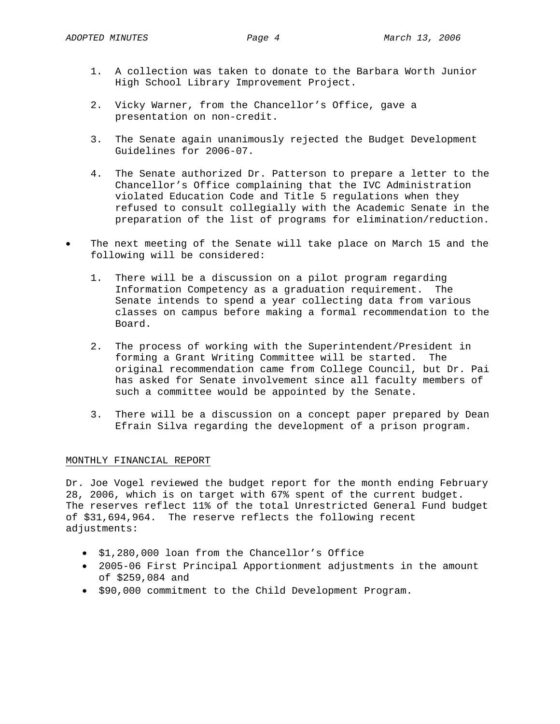- 1. A collection was taken to donate to the Barbara Worth Junior High School Library Improvement Project.
- 2. Vicky Warner, from the Chancellor's Office, gave a presentation on non-credit.
- 3. The Senate again unanimously rejected the Budget Development Guidelines for 2006-07.
- 4. The Senate authorized Dr. Patterson to prepare a letter to the Chancellor's Office complaining that the IVC Administration violated Education Code and Title 5 regulations when they refused to consult collegially with the Academic Senate in the preparation of the list of programs for elimination/reduction.
- The next meeting of the Senate will take place on March 15 and the following will be considered:
	- 1. There will be a discussion on a pilot program regarding Information Competency as a graduation requirement. The Senate intends to spend a year collecting data from various classes on campus before making a formal recommendation to the Board.
	- 2. The process of working with the Superintendent/President in forming a Grant Writing Committee will be started. The original recommendation came from College Council, but Dr. Pai has asked for Senate involvement since all faculty members of such a committee would be appointed by the Senate.
	- 3. There will be a discussion on a concept paper prepared by Dean Efrain Silva regarding the development of a prison program.

#### MONTHLY FINANCIAL REPORT

Dr. Joe Vogel reviewed the budget report for the month ending February 28, 2006, which is on target with 67% spent of the current budget. The reserves reflect 11% of the total Unrestricted General Fund budget of \$31,694,964. The reserve reflects the following recent adjustments:

- \$1,280,000 loan from the Chancellor's Office
- 2005-06 First Principal Apportionment adjustments in the amount of \$259,084 and
- \$90,000 commitment to the Child Development Program.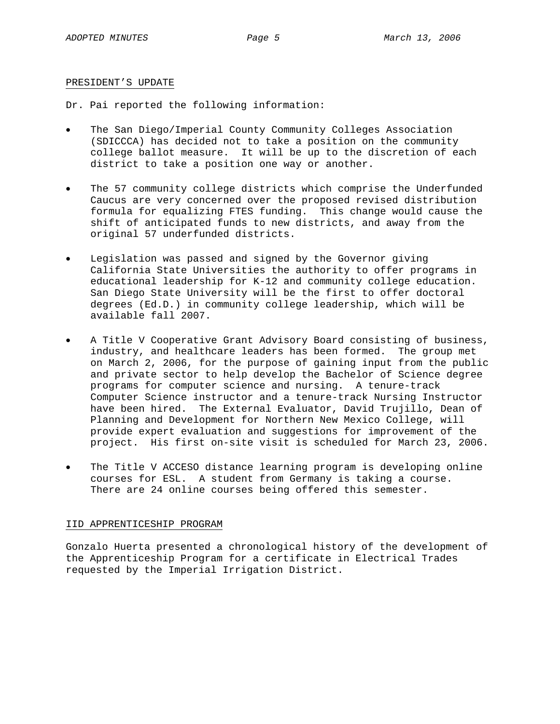#### PRESIDENT'S UPDATE

Dr. Pai reported the following information:

- The San Diego/Imperial County Community Colleges Association (SDICCCA) has decided not to take a position on the community college ballot measure. It will be up to the discretion of each district to take a position one way or another.
- The 57 community college districts which comprise the Underfunded Caucus are very concerned over the proposed revised distribution formula for equalizing FTES funding. This change would cause the shift of anticipated funds to new districts, and away from the original 57 underfunded districts.
- Legislation was passed and signed by the Governor giving California State Universities the authority to offer programs in educational leadership for K-12 and community college education. San Diego State University will be the first to offer doctoral degrees (Ed.D.) in community college leadership, which will be available fall 2007.
- A Title V Cooperative Grant Advisory Board consisting of business, industry, and healthcare leaders has been formed. The group met on March 2, 2006, for the purpose of gaining input from the public and private sector to help develop the Bachelor of Science degree programs for computer science and nursing. A tenure-track Computer Science instructor and a tenure-track Nursing Instructor have been hired. The External Evaluator, David Trujillo, Dean of Planning and Development for Northern New Mexico College, will provide expert evaluation and suggestions for improvement of the project. His first on-site visit is scheduled for March 23, 2006.
- The Title V ACCESO distance learning program is developing online courses for ESL. A student from Germany is taking a course. There are 24 online courses being offered this semester.

#### IID APPRENTICESHIP PROGRAM

Gonzalo Huerta presented a chronological history of the development of the Apprenticeship Program for a certificate in Electrical Trades requested by the Imperial Irrigation District.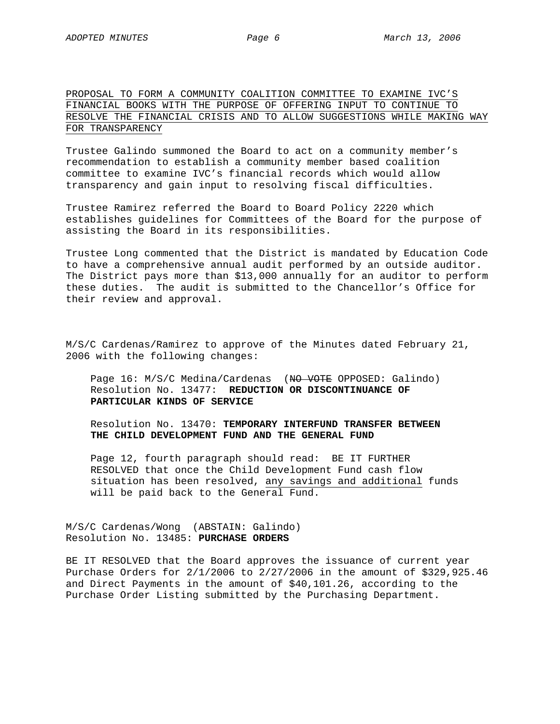#### PROPOSAL TO FORM A COMMUNITY COALITION COMMITTEE TO EXAMINE IVC'S FINANCIAL BOOKS WITH THE PURPOSE OF OFFERING INPUT TO CONTINUE TO RESOLVE THE FINANCIAL CRISIS AND TO ALLOW SUGGESTIONS WHILE MAKING WAY FOR TRANSPARENCY

Trustee Galindo summoned the Board to act on a community member's recommendation to establish a community member based coalition committee to examine IVC's financial records which would allow transparency and gain input to resolving fiscal difficulties.

Trustee Ramirez referred the Board to Board Policy 2220 which establishes guidelines for Committees of the Board for the purpose of assisting the Board in its responsibilities.

Trustee Long commented that the District is mandated by Education Code to have a comprehensive annual audit performed by an outside auditor. The District pays more than \$13,000 annually for an auditor to perform these duties. The audit is submitted to the Chancellor's Office for their review and approval.

M/S/C Cardenas/Ramirez to approve of the Minutes dated February 21, 2006 with the following changes:

Page 16: M/S/C Medina/Cardenas (NO VOTE OPPOSED: Galindo) Resolution No. 13477: **REDUCTION OR DISCONTINUANCE OF PARTICULAR KINDS OF SERVICE**

Resolution No. 13470: **TEMPORARY INTERFUND TRANSFER BETWEEN THE CHILD DEVELOPMENT FUND AND THE GENERAL FUND**

Page 12, fourth paragraph should read: BE IT FURTHER RESOLVED that once the Child Development Fund cash flow situation has been resolved, any savings and additional funds will be paid back to the General Fund.

M/S/C Cardenas/Wong (ABSTAIN: Galindo) Resolution No. 13485: **PURCHASE ORDERS**

BE IT RESOLVED that the Board approves the issuance of current year Purchase Orders for 2/1/2006 to 2/27/2006 in the amount of \$329,925.46 and Direct Payments in the amount of \$40,101.26, according to the Purchase Order Listing submitted by the Purchasing Department.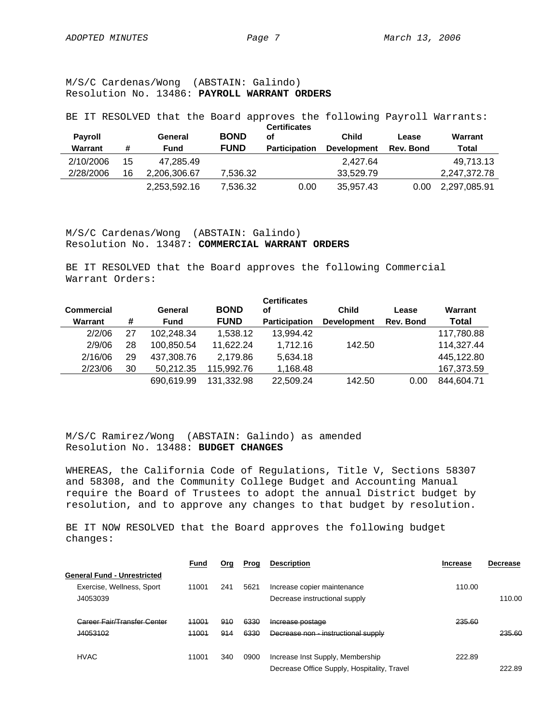M/S/C Cardenas/Wong (ABSTAIN: Galindo) Resolution No. 13486: **PAYROLL WARRANT ORDERS**

BE IT RESOLVED that the Board approves the following Payroll Warrants: **Certificates** 

| <b>Payroll</b> |    | General      | <b>BOND</b> | <b>Certificates</b><br>of | Child              | Lease            | Warrant      |  |
|----------------|----|--------------|-------------|---------------------------|--------------------|------------------|--------------|--|
| Warrant        | #  | Fund         | <b>FUND</b> | <b>Participation</b>      | <b>Development</b> | <b>Rev. Bond</b> | Total        |  |
| 2/10/2006      | 15 | 47.285.49    |             |                           | 2.427.64           |                  | 49.713.13    |  |
| 2/28/2006      | 16 | 2.206.306.67 | 7.536.32    |                           | 33.529.79          |                  | 2.247.372.78 |  |
|                |    | 2,253,592.16 | 7.536.32    | 0.00                      | 35,957.43          | 0.00             | 2,297,085.91 |  |

M/S/C Cardenas/Wong (ABSTAIN: Galindo) Resolution No. 13487: **COMMERCIAL WARRANT ORDERS**

BE IT RESOLVED that the Board approves the following Commercial Warrant Orders:

| <b>Commercial</b><br>Warrant | #  | General<br><b>Fund</b> | <b>BOND</b><br><b>FUND</b> | <b>Certificates</b><br>οf<br><b>Participation</b> | <b>Child</b><br><b>Development</b> | Lease<br>Rev. Bond | Warrant<br>Total |
|------------------------------|----|------------------------|----------------------------|---------------------------------------------------|------------------------------------|--------------------|------------------|
| 2/2/06                       | 27 | 102,248.34             | 1,538.12                   | 13,994.42                                         |                                    |                    | 117,780.88       |
| 2/9/06                       | 28 | 100,850.54             | 11.622.24                  | 1.712.16                                          | 142.50                             |                    | 114,327.44       |
| 2/16/06                      | 29 | 437,308.76             | 2.179.86                   | 5,634.18                                          |                                    |                    | 445,122.80       |
| 2/23/06                      | 30 | 50,212.35              | 115,992.76                 | 1,168.48                                          |                                    |                    | 167,373.59       |
|                              |    | 690.619.99             | 131,332.98                 | 22,509.24                                         | 142.50                             | 0.00               | 844,604.71       |

M/S/C Ramirez/Wong (ABSTAIN: Galindo) as amended Resolution No. 13488: **BUDGET CHANGES** 

WHEREAS, the California Code of Regulations, Title V, Sections 58307 and 58308, and the Community College Budget and Accounting Manual require the Board of Trustees to adopt the annual District budget by resolution, and to approve any changes to that budget by resolution.

BE IT NOW RESOLVED that the Board approves the following budget changes:

|                                    | Fund  | <u>Org</u> | Prog | <b>Description</b>                          | <b>Increase</b> | <b>Decrease</b> |
|------------------------------------|-------|------------|------|---------------------------------------------|-----------------|-----------------|
| <b>General Fund - Unrestricted</b> |       |            |      |                                             |                 |                 |
| Exercise, Wellness, Sport          | 11001 | 241        | 5621 | Increase copier maintenance                 | 110.00          |                 |
| J4053039                           |       |            |      | Decrease instructional supply               |                 | 110.00          |
| Career Fair/Transfer Center        | 11001 | 910        | 6330 | Increase postage                            | 235.60          |                 |
| J4053102                           | 11001 | 914        | 6330 | Decrease non - instructional supply         |                 | 235.60          |
| <b>HVAC</b>                        | 11001 | 340        | 0900 | Increase Inst Supply, Membership            | 222.89          |                 |
|                                    |       |            |      | Decrease Office Supply, Hospitality, Travel |                 | 222.89          |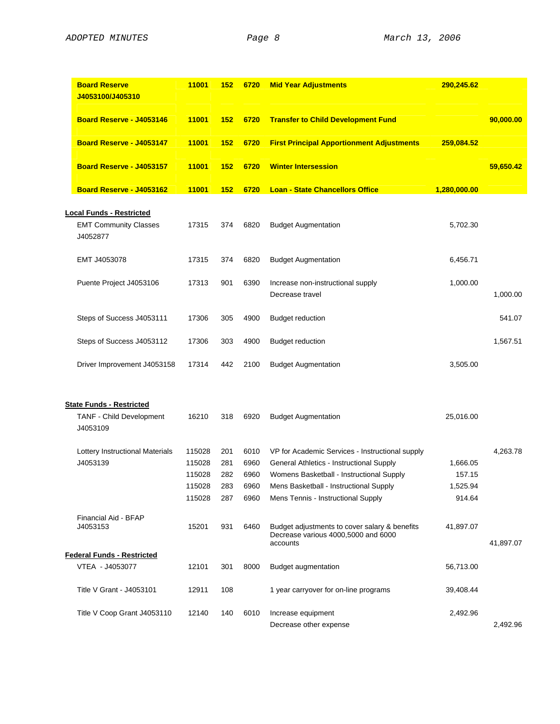| Board Reserve - J4053146<br>Board Reserve - J4053147<br>Board Reserve - J4053157 | 11001<br>11001<br>11001<br>11001 | 152<br>152<br>152 | 6720<br>6720<br>6720 | <b>Transfer to Child Development Fund</b><br><b>First Principal Apportionment Adjustments</b>    | 259,084.52   | 90,000.00 |
|----------------------------------------------------------------------------------|----------------------------------|-------------------|----------------------|--------------------------------------------------------------------------------------------------|--------------|-----------|
|                                                                                  |                                  |                   |                      |                                                                                                  |              |           |
|                                                                                  |                                  |                   |                      |                                                                                                  |              |           |
|                                                                                  |                                  |                   |                      | <b>Winter Intersession</b>                                                                       |              | 59,650.42 |
| Board Reserve - J4053162                                                         |                                  | 152               | 6720                 | <b>Loan - State Chancellors Office</b>                                                           | 1,280,000.00 |           |
| <b>Local Funds - Restricted</b>                                                  |                                  |                   |                      |                                                                                                  |              |           |
| <b>EMT Community Classes</b><br>J4052877                                         | 17315                            | 374               | 6820                 | <b>Budget Augmentation</b>                                                                       | 5,702.30     |           |
| EMT J4053078                                                                     | 17315                            | 374               | 6820                 | <b>Budget Augmentation</b>                                                                       | 6,456.71     |           |
| Puente Project J4053106                                                          | 17313                            | 901               | 6390                 | Increase non-instructional supply<br>Decrease travel                                             | 1,000.00     | 1,000.00  |
| Steps of Success J4053111                                                        | 17306                            | 305               | 4900                 | <b>Budget reduction</b>                                                                          |              | 541.07    |
| Steps of Success J4053112                                                        | 17306                            | 303               | 4900                 | <b>Budget reduction</b>                                                                          |              | 1,567.51  |
| Driver Improvement J4053158                                                      | 17314                            | 442               | 2100                 | <b>Budget Augmentation</b>                                                                       | 3,505.00     |           |
| <b>State Funds - Restricted</b>                                                  |                                  |                   |                      |                                                                                                  |              |           |
| TANF - Child Development<br>J4053109                                             | 16210                            | 318               | 6920                 | <b>Budget Augmentation</b>                                                                       | 25,016.00    |           |
| Lottery Instructional Materials                                                  | 115028                           | 201               | 6010                 | VP for Academic Services - Instructional supply                                                  |              | 4,263.78  |
| J4053139                                                                         | 115028                           | 281               | 6960                 | General Athletics - Instructional Supply                                                         | 1,666.05     |           |
|                                                                                  | 115028                           | 282               | 6960                 | Womens Basketball - Instructional Supply                                                         | 157.15       |           |
|                                                                                  | 115028                           | 283               | 6960                 | Mens Basketball - Instructional Supply                                                           | 1,525.94     |           |
|                                                                                  | 115028                           | 287               | 6960                 | Mens Tennis - Instructional Supply                                                               | 914.64       |           |
| Financial Aid - BFAP<br>J4053153                                                 | 15201                            | 931               | 6460                 | Budget adjustments to cover salary & benefits<br>Decrease various 4000,5000 and 6000<br>accounts | 41,897.07    | 41,897.07 |
| <b>Federal Funds - Restricted</b>                                                |                                  |                   |                      |                                                                                                  |              |           |
| VTEA - J4053077                                                                  | 12101                            | 301               | 8000                 | <b>Budget augmentation</b>                                                                       | 56,713.00    |           |
| Title V Grant - J4053101                                                         | 12911                            | 108               |                      | 1 year carryover for on-line programs                                                            | 39,408.44    |           |
| Title V Coop Grant J4053110                                                      | 12140                            | 140               | 6010                 | Increase equipment                                                                               | 2,492.96     |           |
|                                                                                  |                                  |                   |                      | Decrease other expense                                                                           |              | 2,492.96  |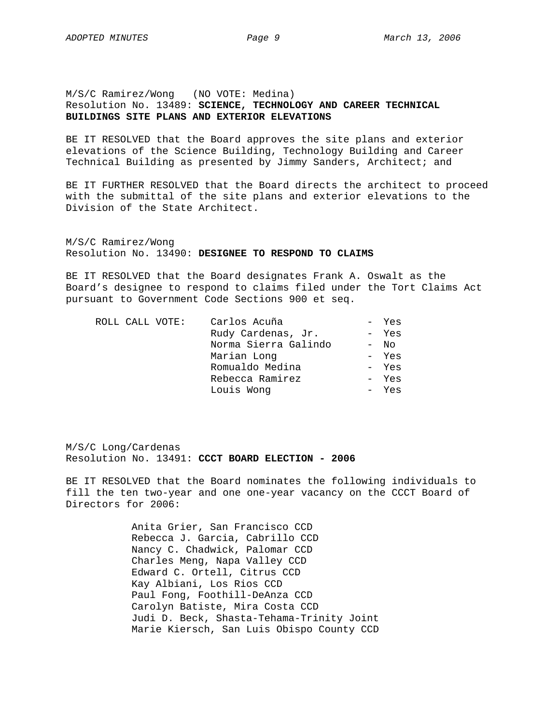#### M/S/C Ramirez/Wong (NO VOTE: Medina) Resolution No. 13489: **SCIENCE, TECHNOLOGY AND CAREER TECHNICAL BUILDINGS SITE PLANS AND EXTERIOR ELEVATIONS**

BE IT RESOLVED that the Board approves the site plans and exterior elevations of the Science Building, Technology Building and Career Technical Building as presented by Jimmy Sanders, Architect; and

BE IT FURTHER RESOLVED that the Board directs the architect to proceed with the submittal of the site plans and exterior elevations to the Division of the State Architect.

M/S/C Ramirez/Wong Resolution No. 13490: **DESIGNEE TO RESPOND TO CLAIMS** 

BE IT RESOLVED that the Board designates Frank A. Oswalt as the Board's designee to respond to claims filed under the Tort Claims Act pursuant to Government Code Sections 900 et seq.

|  | ROLL CALL VOTE: | Carlos Acuña         | - Yes  |
|--|-----------------|----------------------|--------|
|  |                 | Rudy Cardenas, Jr.   | - Yes  |
|  |                 | Norma Sierra Galindo | $-$ No |
|  |                 | Marian Long          | - Yes  |
|  |                 | Romualdo Medina      | - Yes  |
|  |                 | Rebecca Ramirez      | - Yes  |
|  |                 | Louis Wong           | - Yes  |
|  |                 |                      |        |

M/S/C Long/Cardenas Resolution No. 13491: **CCCT BOARD ELECTION - 2006** 

BE IT RESOLVED that the Board nominates the following individuals to fill the ten two-year and one one-year vacancy on the CCCT Board of Directors for 2006:

> Anita Grier, San Francisco CCD Rebecca J. Garcia, Cabrillo CCD Nancy C. Chadwick, Palomar CCD Charles Meng, Napa Valley CCD Edward C. Ortell, Citrus CCD Kay Albiani, Los Rios CCD Paul Fong, Foothill-DeAnza CCD Carolyn Batiste, Mira Costa CCD Judi D. Beck, Shasta-Tehama-Trinity Joint Marie Kiersch, San Luis Obispo County CCD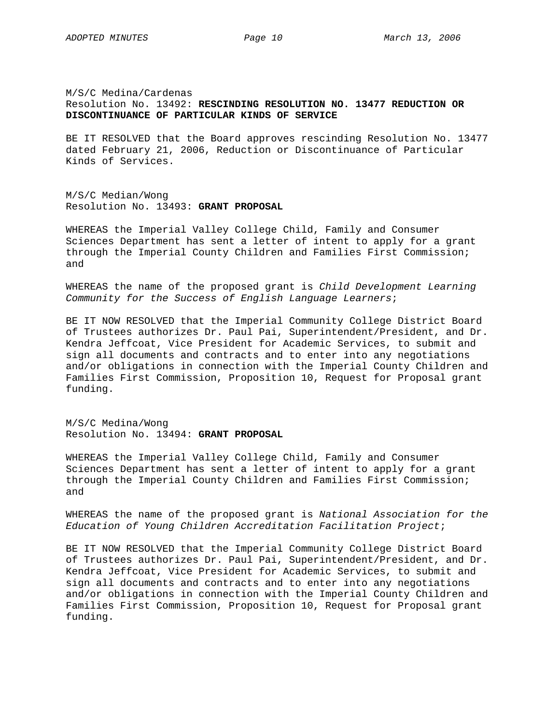M/S/C Medina/Cardenas Resolution No. 13492: **RESCINDING RESOLUTION NO. 13477 REDUCTION OR DISCONTINUANCE OF PARTICULAR KINDS OF SERVICE**

BE IT RESOLVED that the Board approves rescinding Resolution No. 13477 dated February 21, 2006, Reduction or Discontinuance of Particular Kinds of Services.

M/S/C Median/Wong Resolution No. 13493: **GRANT PROPOSAL**

WHEREAS the Imperial Valley College Child, Family and Consumer Sciences Department has sent a letter of intent to apply for a grant through the Imperial County Children and Families First Commission; and

WHEREAS the name of the proposed grant is *Child Development Learning Community for the Success of English Language Learners*;

BE IT NOW RESOLVED that the Imperial Community College District Board of Trustees authorizes Dr. Paul Pai, Superintendent/President, and Dr. Kendra Jeffcoat, Vice President for Academic Services, to submit and sign all documents and contracts and to enter into any negotiations and/or obligations in connection with the Imperial County Children and Families First Commission, Proposition 10, Request for Proposal grant funding.

M/S/C Medina/Wong Resolution No. 13494: **GRANT PROPOSAL**

WHEREAS the Imperial Valley College Child, Family and Consumer Sciences Department has sent a letter of intent to apply for a grant through the Imperial County Children and Families First Commission; and

WHEREAS the name of the proposed grant is *National Association for the Education of Young Children Accreditation Facilitation Project*;

BE IT NOW RESOLVED that the Imperial Community College District Board of Trustees authorizes Dr. Paul Pai, Superintendent/President, and Dr. Kendra Jeffcoat, Vice President for Academic Services, to submit and sign all documents and contracts and to enter into any negotiations and/or obligations in connection with the Imperial County Children and Families First Commission, Proposition 10, Request for Proposal grant funding.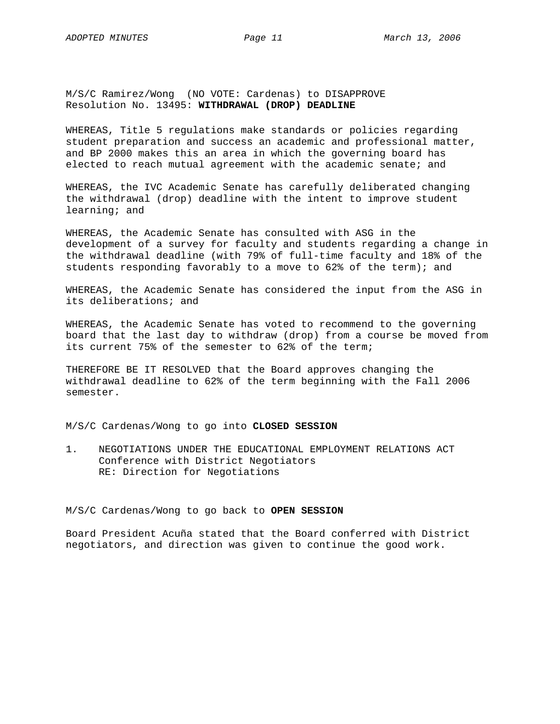M/S/C Ramirez/Wong (NO VOTE: Cardenas) to DISAPPROVE Resolution No. 13495: **WITHDRAWAL (DROP) DEADLINE**

WHEREAS, Title 5 regulations make standards or policies regarding student preparation and success an academic and professional matter, and BP 2000 makes this an area in which the governing board has elected to reach mutual agreement with the academic senate; and

WHEREAS, the IVC Academic Senate has carefully deliberated changing the withdrawal (drop) deadline with the intent to improve student learning; and

WHEREAS, the Academic Senate has consulted with ASG in the development of a survey for faculty and students regarding a change in the withdrawal deadline (with 79% of full-time faculty and 18% of the students responding favorably to a move to 62% of the term); and

WHEREAS, the Academic Senate has considered the input from the ASG in its deliberations; and

WHEREAS, the Academic Senate has voted to recommend to the governing board that the last day to withdraw (drop) from a course be moved from its current 75% of the semester to 62% of the term;

THEREFORE BE IT RESOLVED that the Board approves changing the withdrawal deadline to 62% of the term beginning with the Fall 2006 semester.

M/S/C Cardenas/Wong to go into **CLOSED SESSION**

1. NEGOTIATIONS UNDER THE EDUCATIONAL EMPLOYMENT RELATIONS ACT Conference with District Negotiators RE: Direction for Negotiations

M/S/C Cardenas/Wong to go back to **OPEN SESSION**

Board President Acuña stated that the Board conferred with District negotiators, and direction was given to continue the good work.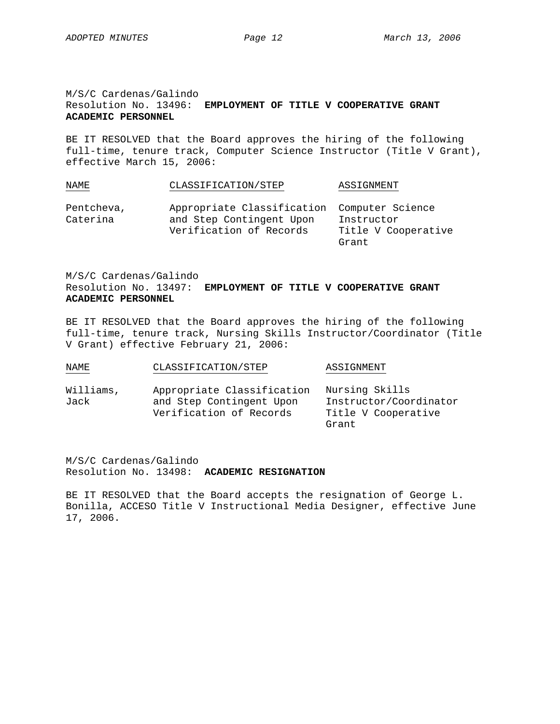#### M/S/C Cardenas/Galindo Resolution No. 13496: **EMPLOYMENT OF TITLE V COOPERATIVE GRANT ACADEMIC PERSONNEL**

BE IT RESOLVED that the Board approves the hiring of the following full-time, tenure track, Computer Science Instructor (Title V Grant), effective March 15, 2006:

| NAME                   | CLASSIFICATION/STEP                                                     | ASSIGNMENT          |
|------------------------|-------------------------------------------------------------------------|---------------------|
| Pentcheva,<br>Caterina | Appropriate Classification Computer Science<br>and Step Contingent Upon | Instructor          |
|                        | Verification of Records                                                 | Title V Cooperative |

M/S/C Cardenas/Galindo Resolution No. 13497: **EMPLOYMENT OF TITLE V COOPERATIVE GRANT ACADEMIC PERSONNEL**

BE IT RESOLVED that the Board approves the hiring of the following full-time, tenure track, Nursing Skills Instructor/Coordinator (Title V Grant) effective February 21, 2006:

Grant

| NAME              | CLASSIFICATION/STEP                                                               | ASSIGNMENT                                                               |
|-------------------|-----------------------------------------------------------------------------------|--------------------------------------------------------------------------|
| Williams,<br>Jack | Appropriate Classification<br>and Step Contingent Upon<br>Verification of Records | Nursing Skills<br>Instructor/Coordinator<br>Title V Cooperative<br>Grant |

M/S/C Cardenas/Galindo Resolution No. 13498: **ACADEMIC RESIGNATION**

BE IT RESOLVED that the Board accepts the resignation of George L. Bonilla, ACCESO Title V Instructional Media Designer, effective June 17, 2006.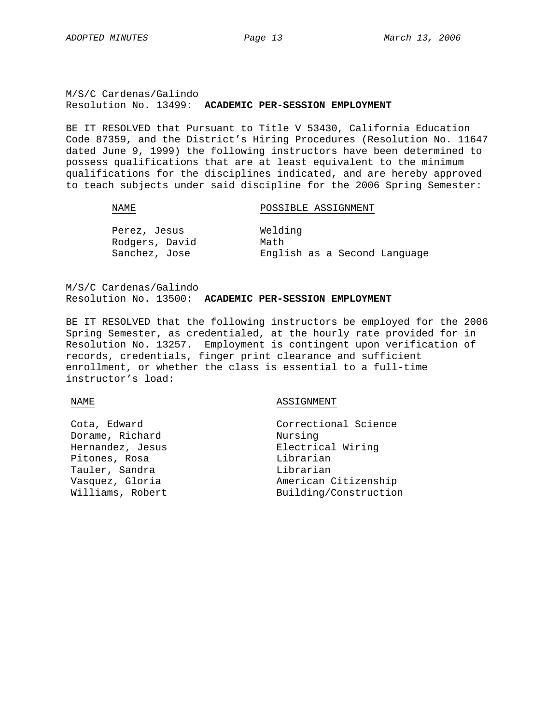M/S/C Cardenas/Galindo Resolution No. 13499: **ACADEMIC PER-SESSION EMPLOYMENT**

BE IT RESOLVED that Pursuant to Title V 53430, California Education Code 87359, and the District's Hiring Procedures (Resolution No. 11647 dated June 9, 1999) the following instructors have been determined to possess qualifications that are at least equivalent to the minimum qualifications for the disciplines indicated, and are hereby approved to teach subjects under said discipline for the 2006 Spring Semester:

#### NAME POSSIBLE ASSIGNMENT

| Perez, Jesus   | Welding                      |  |  |  |  |
|----------------|------------------------------|--|--|--|--|
| Rodgers, David | Math                         |  |  |  |  |
| Sanchez, Jose  | English as a Second Language |  |  |  |  |

M/S/C Cardenas/Galindo Resolution No. 13500: **ACADEMIC PER-SESSION EMPLOYMENT**

BE IT RESOLVED that the following instructors be employed for the 2006 Spring Semester, as credentialed, at the hourly rate provided for in Resolution No. 13257. Employment is contingent upon verification of records, credentials, finger print clearance and sufficient enrollment, or whether the class is essential to a full-time instructor's load:

#### NAME ASSIGNMENT

| Cota, Edward     | Correctional Science  |
|------------------|-----------------------|
| Dorame, Richard  | Nursing               |
| Hernandez, Jesus | Electrical Wiring     |
| Pitones, Rosa    | Librarian             |
| Tauler, Sandra   | Librarian             |
| Vasquez, Gloria  | American Citizenship  |
| Williams, Robert | Building/Construction |
|                  |                       |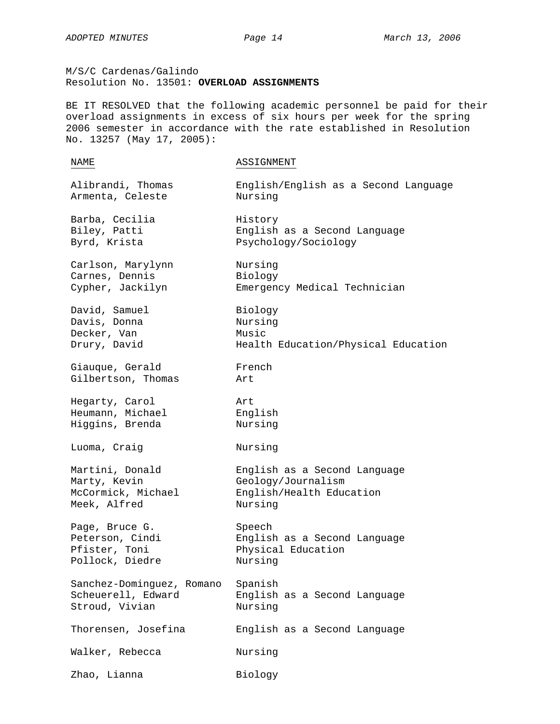M/S/C Cardenas/Galindo Resolution No. 13501: **OVERLOAD ASSIGNMENTS** 

BE IT RESOLVED that the following academic personnel be paid for their overload assignments in excess of six hours per week for the spring 2006 semester in accordance with the rate established in Resolution No. 13257 (May 17, 2005):

| NAME                      | ASSIGNMENT                           |
|---------------------------|--------------------------------------|
| Alibrandi, Thomas         | English/English as a Second Language |
| Armenta, Celeste          | Nursing                              |
| Barba, Cecilia            | History                              |
| Biley, Patti              | English as a Second Language         |
| Byrd, Krista              | Psychology/Sociology                 |
| Carlson, Marylynn         | Nursing                              |
| Carnes, Dennis            | Biology                              |
| Cypher, Jackilyn          | Emergency Medical Technician         |
| David, Samuel             | Biology                              |
| Davis, Donna              | Nursing                              |
| Decker, Van               | Music                                |
| Drury, David              | Health Education/Physical Education  |
| Giauque, Gerald           | French                               |
| Gilbertson, Thomas        | Art                                  |
| Hegarty, Carol            | Art                                  |
| Heumann, Michael          | English                              |
| Higgins, Brenda           | Nursing                              |
| Luoma, Craig              | Nursing                              |
| Martini, Donald           | English as a Second Language         |
| Marty, Kevin              | Geology/Journalism                   |
| McCormick, Michael        | English/Health Education             |
| Meek, Alfred              | Nursing                              |
| Page, Bruce G.            | Speech                               |
| Peterson, Cindi           | English as a Second Language         |
| Pfister, Toni             | Physical Education                   |
| Pollock, Diedre           | Nursing                              |
| Sanchez-Dominguez, Romano | Spanish                              |
| Scheuerell, Edward        | English as a Second Language         |
| Stroud, Vivian            | Nursing                              |
| Thorensen, Josefina       | English as a Second Language         |
| Walker, Rebecca           | Nursing                              |
| Zhao, Lianna              | Biology                              |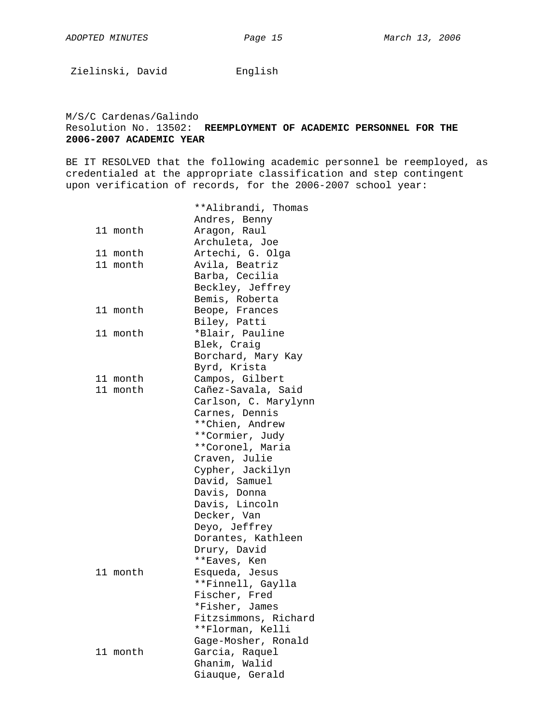Zielinski, David Knglish

#### M/S/C Cardenas/Galindo Resolution No. 13502: **REEMPLOYMENT OF ACADEMIC PERSONNEL FOR THE 2006-2007 ACADEMIC YEAR**

BE IT RESOLVED that the following academic personnel be reemployed, as credentialed at the appropriate classification and step contingent upon verification of records, for the 2006-2007 school year:

|          | **Alibrandi, Thomas  |
|----------|----------------------|
|          | Andres, Benny        |
| 11 month | Aragon, Raul         |
|          | Archuleta, Joe       |
| 11 month | Artechi, G. Olga     |
|          |                      |
| 11 month | Avila, Beatriz       |
|          | Barba, Cecilia       |
|          | Beckley, Jeffrey     |
|          | Bemis, Roberta       |
| 11 month | Beope, Frances       |
|          | Biley, Patti         |
| 11 month | *Blair, Pauline      |
|          | Blek, Craig          |
|          | Borchard, Mary Kay   |
|          | Byrd, Krista         |
| 11 month | Campos, Gilbert      |
| 11 month | Cañez-Savala, Said   |
|          | Carlson, C. Marylynn |
|          | Carnes, Dennis       |
|          | **Chien, Andrew      |
|          | **Cormier, Judy      |
|          | **Coronel, Maria     |
|          | Craven, Julie        |
|          | Cypher, Jackilyn     |
|          | David, Samuel        |
|          | Davis, Donna         |
|          | Davis, Lincoln       |
|          |                      |
|          | Decker, Van          |
|          | Deyo, Jeffrey        |
|          | Dorantes, Kathleen   |
|          | Drury, David         |
|          | **Eaves, Ken         |
| 11 month | Esqueda, Jesus       |
|          | **Finnell, Gaylla    |
|          | Fischer, Fred        |
|          | *Fisher, James       |
|          | Fitzsimmons, Richard |
|          | **Florman, Kelli     |
|          | Gage-Mosher, Ronald  |
| 11 month | Garcia, Raquel       |
|          |                      |
|          | Giauque, Gerald      |
|          | Ghanim, Walid        |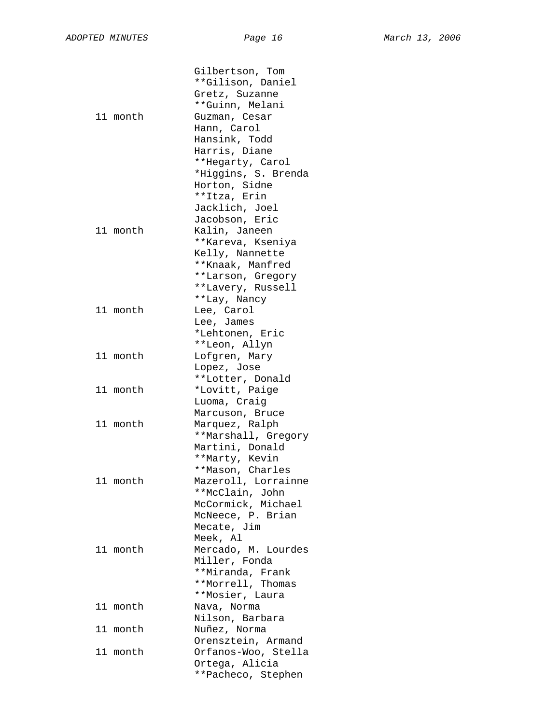| 11 month | Gilbertson, Tom<br>**Gilison, Daniel<br>Gretz, Suzanne<br>**Guinn, Melani<br>Guzman, Cesar<br>Hann, Carol<br>Hansink, Todd<br>Harris, Diane<br>**Hegarty, Carol<br>*Higgins, S. Brenda<br>Horton, Sidne |
|----------|---------------------------------------------------------------------------------------------------------------------------------------------------------------------------------------------------------|
| 11 month | **Itza, Erin<br>Jacklich, Joel<br>Jacobson, Eric<br>Kalin, Janeen<br>**Kareva, Kseniya<br>Kelly, Nannette<br>**Knaak, Manfred<br>**Larson, Gregory                                                      |
| 11 month | **Lavery, Russell<br>**Lay, Nancy<br>Lee, Carol<br>Lee, James<br>*Lehtonen, Eric                                                                                                                        |
| 11 month | **Leon, Allyn<br>Lofgren, Mary<br>Lopez, Jose                                                                                                                                                           |
| 11 month | **Lotter, Donald<br>*Lovitt, Paige<br>Luoma, Craig                                                                                                                                                      |
| 11 month | Marcuson, Bruce<br>Marquez, Ralph<br>**Marshall, Gregory                                                                                                                                                |
| 11 month | Martini, Donald<br>**Marty, Kevin<br>**Mason, Charles<br>Mazeroll, Lorrainne<br>**McClain, John<br>McCormick, Michael<br>McNeece, P. Brian                                                              |
| 11 month | Mecate, Jim<br>Meek, Al<br>Mercado, M. Lourdes<br>Miller, Fonda<br>**Miranda, Frank<br>**Morrell, Thomas                                                                                                |
| 11 month | **Mosier, Laura<br>Nava, Norma                                                                                                                                                                          |
| 11 month | Nilson, Barbara<br>Nuñez, Norma                                                                                                                                                                         |
| 11 month | Orensztein, Armand<br>Orfanos-Woo, Stella<br>Ortega, Alicia<br>**Pacheco, Stephen                                                                                                                       |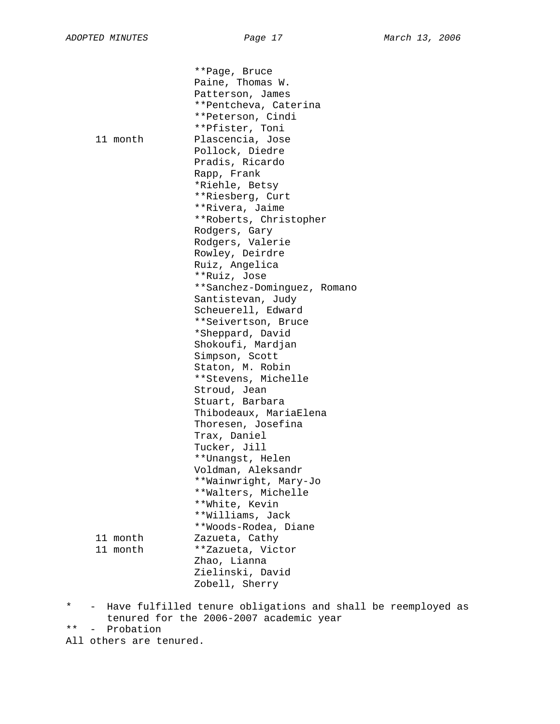\*\*Page, Bruce Paine, Thomas W. Patterson, James \*\*Pentcheva, Caterina \*\*Peterson, Cindi \*\*Pfister, Toni 11 month Plascencia, Jose Pollock, Diedre Pradis, Ricardo Rapp, Frank \*Riehle, Betsy \*\*Riesberg, Curt \*\*Rivera, Jaime \*\*Roberts, Christopher Rodgers, Gary Rodgers, Valerie Rowley, Deirdre Ruiz, Angelica \*\*Ruiz, Jose \*\*Sanchez-Dominguez, Romano Santistevan, Judy Scheuerell, Edward \*\*Seivertson, Bruce \*Sheppard, David Shokoufi, Mardjan Simpson, Scott Staton, M. Robin \*\*Stevens, Michelle Stroud, Jean Stuart, Barbara Thibodeaux, MariaElena Thoresen, Josefina Trax, Daniel Tucker, Jill \*\*Unangst, Helen Voldman, Aleksandr \*\*Wainwright, Mary-Jo \*\*Walters, Michelle \*\*White, Kevin \*\*Williams, Jack \*\*Woods-Rodea, Diane 11 month Zazueta, Cathy<br>11 month \*\*Zazueta, Vic \*\*Zazueta, Victor Zhao, Lianna Zielinski, David Zobell, Sherry

\* - Have fulfilled tenure obligations and shall be reemployed as tenured for the 2006-2007 academic year

\*\* - Probation

All others are tenured.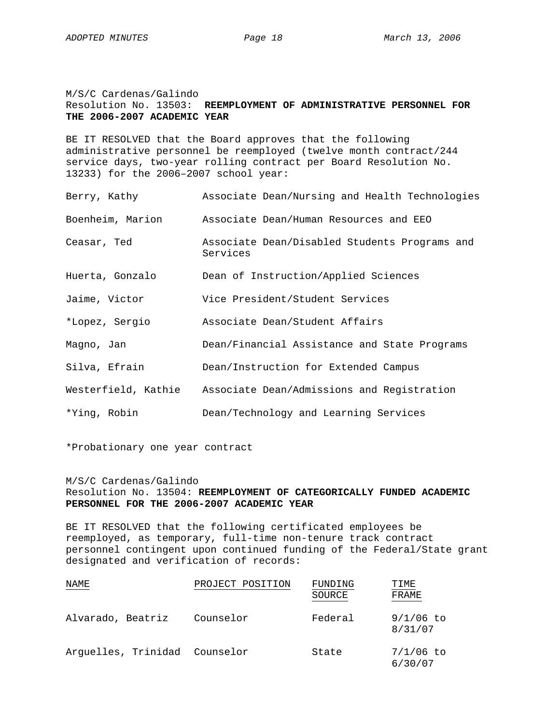M/S/C Cardenas/Galindo Resolution No. 13503: **REEMPLOYMENT OF ADMINISTRATIVE PERSONNEL FOR THE 2006-2007 ACADEMIC YEAR**

BE IT RESOLVED that the Board approves that the following administrative personnel be reemployed (twelve month contract/244 service days, two-year rolling contract per Board Resolution No. 13233) for the 2006–2007 school year:

| Berry, Kathy     | Associate Dean/Nursing and Health Technologies                 |
|------------------|----------------------------------------------------------------|
| Boenheim, Marion | Associate Dean/Human Resources and EEO                         |
| Ceasar, Ted      | Associate Dean/Disabled Students Programs and<br>Services      |
| Huerta, Gonzalo  | Dean of Instruction/Applied Sciences                           |
| Jaime, Victor    | Vice President/Student Services                                |
| *Lopez, Sergio   | Associate Dean/Student Affairs                                 |
| Magno, Jan       | Dean/Financial Assistance and State Programs                   |
| Silva, Efrain    | Dean/Instruction for Extended Campus                           |
|                  | Westerfield, Kathie Associate Dean/Admissions and Registration |
| *Ying, Robin     | Dean/Technology and Learning Services                          |

\*Probationary one year contract

#### M/S/C Cardenas/Galindo Resolution No. 13504: **REEMPLOYMENT OF CATEGORICALLY FUNDED ACADEMIC PERSONNEL FOR THE 2006-2007 ACADEMIC YEAR**

BE IT RESOLVED that the following certificated employees be reemployed, as temporary, full-time non-tenure track contract personnel contingent upon continued funding of the Federal/State grant designated and verification of records:

| NAME                          | PROJECT POSITION | FUNDING<br>SOURCE | TIME<br>FRAME          |
|-------------------------------|------------------|-------------------|------------------------|
| Alvarado, Beatriz             | Counselor        | Federal           | $9/1/06$ to<br>8/31/07 |
| Arquelles, Trinidad Counselor |                  | State             | $7/1/06$ to<br>6/30/07 |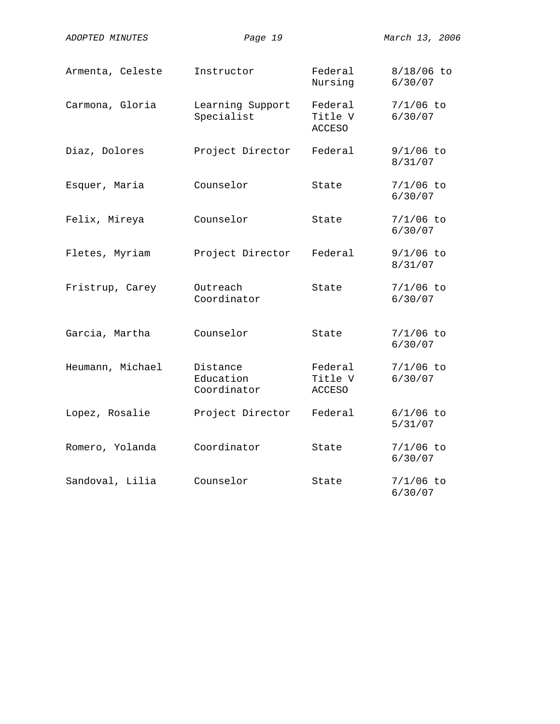| ADOPTED MINUTES  | Page 19                              |                                     | March 13, 2006          |
|------------------|--------------------------------------|-------------------------------------|-------------------------|
| Armenta, Celeste | Instructor                           | Federal<br>Nursing                  | $8/18/06$ to<br>6/30/07 |
| Carmona, Gloria  | Learning Support<br>Specialist       | Federal<br>Title V<br><b>ACCESO</b> | $7/1/06$ to<br>6/30/07  |
| Diaz, Dolores    | Project Director                     | Federal                             | 9/1/06 to<br>8/31/07    |
| Esquer, Maria    | Counselor                            | State                               | $7/1/06$ to<br>6/30/07  |
| Felix, Mireya    | Counselor                            | State                               | $7/1/06$ to<br>6/30/07  |
| Fletes, Myriam   | Project Director                     | Federal                             | $9/1/06$ to<br>8/31/07  |
| Fristrup, Carey  | Outreach<br>Coordinator              | State                               | $7/1/06$ to<br>6/30/07  |
| Garcia, Martha   | Counselor                            | State                               | $7/1/06$ to<br>6/30/07  |
| Heumann, Michael | Distance<br>Education<br>Coordinator | Federal<br>Title V<br><b>ACCESO</b> | $7/1/06$ to<br>6/30/07  |
| Lopez, Rosalie   | Project Director                     | Federal                             | $6/1/06$ to<br>5/31/07  |
| Romero, Yolanda  | Coordinator                          | State                               | $7/1/06$ to<br>6/30/07  |
| Sandoval, Lilia  | Counselor                            | State                               | $7/1/06$ to<br>6/30/07  |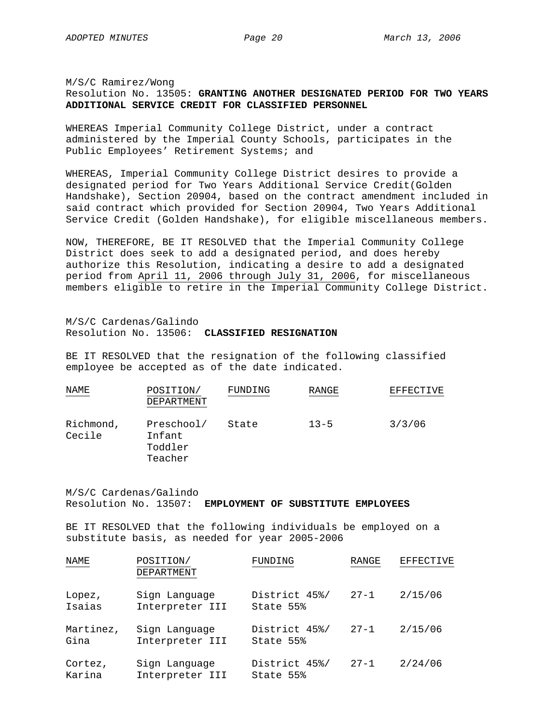#### M/S/C Ramirez/Wong Resolution No. 13505: **GRANTING ANOTHER DESIGNATED PERIOD FOR TWO YEARS ADDITIONAL SERVICE CREDIT FOR CLASSIFIED PERSONNEL**

WHEREAS Imperial Community College District, under a contract administered by the Imperial County Schools, participates in the Public Employees' Retirement Systems; and

WHEREAS, Imperial Community College District desires to provide a designated period for Two Years Additional Service Credit(Golden Handshake), Section 20904, based on the contract amendment included in said contract which provided for Section 20904, Two Years Additional Service Credit (Golden Handshake), for eligible miscellaneous members.

NOW, THEREFORE, BE IT RESOLVED that the Imperial Community College District does seek to add a designated period, and does hereby authorize this Resolution, indicating a desire to add a designated period from April 11, 2006 through July 31, 2006, for miscellaneous members eligible to retire in the Imperial Community College District.

M/S/C Cardenas/Galindo Resolution No. 13506: **CLASSIFIED RESIGNATION**

BE IT RESOLVED that the resignation of the following classified employee be accepted as of the date indicated.

| NAME                | POSITION/<br>DEPARTMENT                    | FUNDING | RANGE    | EFFECTIVE |
|---------------------|--------------------------------------------|---------|----------|-----------|
| Richmond,<br>Cecile | Preschool/<br>Infant<br>Toddler<br>Teacher | State   | $13 - 5$ | 3/3/06    |

M/S/C Cardenas/Galindo Resolution No. 13507: **EMPLOYMENT OF SUBSTITUTE EMPLOYEES**

BE IT RESOLVED that the following individuals be employed on a substitute basis, as needed for year 2005-2006

| NAME              | POSITION/<br><b>DEPARTMENT</b>   | FUNDING                    | RANGE    | EFFECTIVE |
|-------------------|----------------------------------|----------------------------|----------|-----------|
| Lopez,<br>Isaias  | Sign Language<br>Interpreter III | District 45%/<br>State 55% | $27 - 1$ | 2/15/06   |
| Martinez,<br>Gina | Sign Language<br>Interpreter III | District 45%/<br>State 55% | $27 - 1$ | 2/15/06   |
| Cortez,<br>Karina | Sign Language<br>Interpreter III | District 45%/<br>State 55% | $27 - 1$ | 2/24/06   |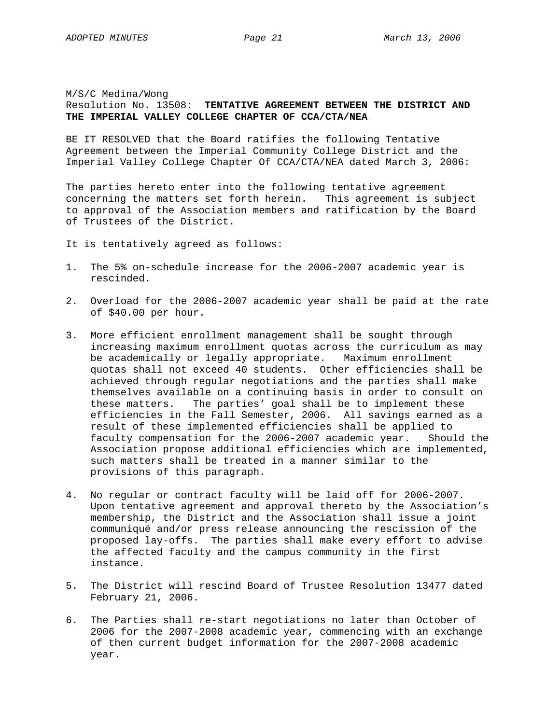#### M/S/C Medina/Wong Resolution No. 13508: **TENTATIVE AGREEMENT BETWEEN THE DISTRICT AND THE IMPERIAL VALLEY COLLEGE CHAPTER OF CCA/CTA/NEA**

BE IT RESOLVED that the Board ratifies the following Tentative Agreement between the Imperial Community College District and the Imperial Valley College Chapter Of CCA/CTA/NEA dated March 3, 2006:

The parties hereto enter into the following tentative agreement concerning the matters set forth herein. This agreement is subject to approval of the Association members and ratification by the Board of Trustees of the District.

- It is tentatively agreed as follows:
- 1. The 5% on-schedule increase for the 2006-2007 academic year is rescinded.
- 2. Overload for the 2006-2007 academic year shall be paid at the rate of \$40.00 per hour.
- 3. More efficient enrollment management shall be sought through increasing maximum enrollment quotas across the curriculum as may be academically or legally appropriate. Maximum enrollment quotas shall not exceed 40 students. Other efficiencies shall be achieved through regular negotiations and the parties shall make themselves available on a continuing basis in order to consult on these matters. The parties' goal shall be to implement these efficiencies in the Fall Semester, 2006. All savings earned as a result of these implemented efficiencies shall be applied to faculty compensation for the 2006-2007 academic year. Should the Association propose additional efficiencies which are implemented, such matters shall be treated in a manner similar to the provisions of this paragraph.
- 4. No regular or contract faculty will be laid off for 2006-2007. Upon tentative agreement and approval thereto by the Association's membership, the District and the Association shall issue a joint communiqué and/or press release announcing the rescission of the proposed lay-offs. The parties shall make every effort to advise the affected faculty and the campus community in the first instance.
- 5. The District will rescind Board of Trustee Resolution 13477 dated February 21, 2006.
- 6. The Parties shall re-start negotiations no later than October of 2006 for the 2007-2008 academic year, commencing with an exchange of then current budget information for the 2007-2008 academic year.